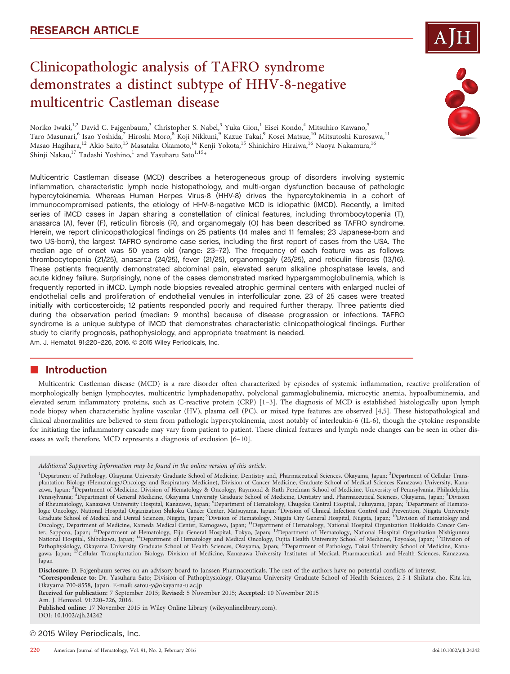# Clinicopathologic analysis of TAFRO syndrome demonstrates a distinct subtype of HHV-8-negative multicentric Castleman disease



Noriko Iwaki,<sup>1,2</sup> David C. Fajgenbaum,<sup>3</sup> Christopher S. Nabel,<sup>3</sup> Yuka Gion,<sup>1</sup> Eisei Kondo,<sup>4</sup> Mitsuhiro Kawano,<sup>5</sup> Taro Masunari,<sup>6</sup> Isao Yoshida,<sup>7</sup> Hiroshi Moro,<sup>8</sup> Koji Nikkuni,<sup>9</sup> Kazue Takai,<sup>9</sup> Kosei Matsue,<sup>10</sup> Mitsutoshi Kurosawa,<sup>11</sup> Masao Hagihara,<sup>12</sup> Akio Saito,<sup>13</sup> Masataka Okamoto,<sup>14</sup> Kenji Yokota,<sup>15</sup> Shinichiro Hiraiwa,<sup>16</sup> Naoya Nakamura,<sup>16</sup> Shinji Nakao,<sup>17</sup> Tadashi Yoshino,<sup>1</sup> and Yasuharu Sato<sup>1,15</sup>\*

Multicentric Castleman disease (MCD) describes a heterogeneous group of disorders involving systemic inflammation, characteristic lymph node histopathology, and multi-organ dysfunction because of pathologic hypercytokinemia. Whereas Human Herpes Virus-8 (HHV-8) drives the hypercytokinemia in a cohort of immunocompromised patients, the etiology of HHV-8-negative MCD is idiopathic (iMCD). Recently, a limited series of iMCD cases in Japan sharing a constellation of clinical features, including thrombocytopenia (T), anasarca (A), fever (F), reticulin fibrosis (R), and organomegaly (O) has been described as TAFRO syndrome. Herein, we report clinicopathological findings on 25 patients (14 males and 11 females; 23 Japanese-born and two US-born), the largest TAFRO syndrome case series, including the first report of cases from the USA. The median age of onset was 50 years old (range: 23–72). The frequency of each feature was as follows: thrombocytopenia (21/25), anasarca (24/25), fever (21/25), organomegaly (25/25), and reticulin fibrosis (13/16). These patients frequently demonstrated abdominal pain, elevated serum alkaline phosphatase levels, and acute kidney failure. Surprisingly, none of the cases demonstrated marked hypergammoglobulinemia, which is frequently reported in iMCD. Lymph node biopsies revealed atrophic germinal centers with enlarged nuclei of endothelial cells and proliferation of endothelial venules in interfollicular zone. 23 of 25 cases were treated initially with corticosteroids; 12 patients responded poorly and required further therapy. Three patients died during the observation period (median: 9 months) because of disease progression or infections. TAFRO syndrome is a unique subtype of iMCD that demonstrates characteristic clinicopathological findings. Further study to clarify prognosis, pathophysiology, and appropriate treatment is needed. Am. J. Hematol. 91:220-226, 2016. @ 2015 Wiley Periodicals, Inc.

## **n** Introduction

Multicentric Castleman disease (MCD) is a rare disorder often characterized by episodes of systemic inflammation, reactive proliferation of morphologically benign lymphocytes, multicentric lymphadenopathy, polyclonal gammaglobulinemia, microcytic anemia, hypoalbuminemia, and elevated serum inflammatory proteins, such as C-reactive protein (CRP) [1–3]. The diagnosis of MCD is established histologically upon lymph node biopsy when characteristic hyaline vascular (HV), plasma cell (PC), or mixed type features are observed [4,5]. These histopathological and clinical abnormalities are believed to stem from pathologic hypercytokinemia, most notably of interleukin-6 (IL-6), though the cytokine responsible for initiating the inflammatory cascade may vary from patient to patient. These clinical features and lymph node changes can be seen in other diseases as well; therefore, MCD represents a diagnosis of exclusion [6–10].

Disclosure: D. Fajgenbaum serves on an advisory board to Janssen Pharmaceuticals. The rest of the authors have no potential conflicts of interest.

\*Correspondence to: Dr. Yasuharu Sato; Division of Pathophysiology, Okayama University Graduate School of Health Sciences, 2-5-1 Shikata-cho, Kita-ku, Okayama 700-8558, Japan. E-mail: satou-y@okayama-u.ac.jp

Received for publication: 7 September 2015; Revised: 5 November 2015; Accepted: 10 November 2015

Am. J. Hematol. 91:220–226, 2016.

Published online: 17 November 2015 in Wiley Online Library (wileyonlinelibrary.com). DOI: 10.1002/ajh.24242

© 2015 Wiley Periodicals, Inc.

Additional Supporting Information may be found in the online version of this article.

<sup>&</sup>lt;sup>1</sup>Department of Pathology, Okayama University Graduate School of Medicine, Dentistry and, Pharmaceutical Sciences, Okayama, Japan; <sup>2</sup>Department of Cellular Transplantation Biology (Hematology/Oncology and Respiratory Medicine), Division of Cancer Medicine, Graduate School of Medical Sciences Kanazawa University, Kana-.<br>zawa, Japan; <sup>3</sup>Department of Medicine, Division of Hematology & Oncology, Raymond & Ruth Perelman School of Medicine, University of Pennsylvania, Philadelphia, Pennsylvania; <sup>4</sup>Department of General Medicine, Okayama University Graduate School of Medicine, Dentistry and, Pharmaceutical Sciences, Okayama, Japan; <sup>5</sup>Division of Rheumatology, Kanazawa University Hospital, Kanazawa, Japan; <sup>6</sup>Department of Hematology, Chugoku Central Hospital, Fukuyama, Japan; <sup>7</sup>Department of Hemato-<br>logic Oncology, National Hospital Organization Shikoku Cancer Graduate School of Medical and Dental Sciences, Niigata, Japan; <sup>9</sup>Division of Hematology, Niigata City General Hospital, Niigata, Japan; <sup>10</sup>Division of Hematology and Oncology, Department of Medicine, Kameda Medical Center, Kamogawa, Japan; 11Department of Hematology, National Hospital Organization Hokkaido Cancer Center, Sapporo, Japan; 12Department of Hematology, Eiju General Hospital, Tokyo, Japan; 13Department of Hematology, National Hospital Organization Nishigunma National Hospital, Shibukawa, Japan; <sup>14</sup>Department of Hematology and Medical Oncology, Fujita Health University School of Medicine, Toyoake, Japan; <sup>15</sup>Division of Pathophysiology, Okayama University Graduate School of Health Sciences, Okayama, Japan; <sup>16</sup>Department of Pathology, Tokai University School of Medicine, Kanagawa, Japan; <sup>19</sup>Cellular Transplantation Biology, Division of Medicine, Kanazawa University Institutes of Medical, Pharmaceutical, and Health Sciences, Kanazawa, Japan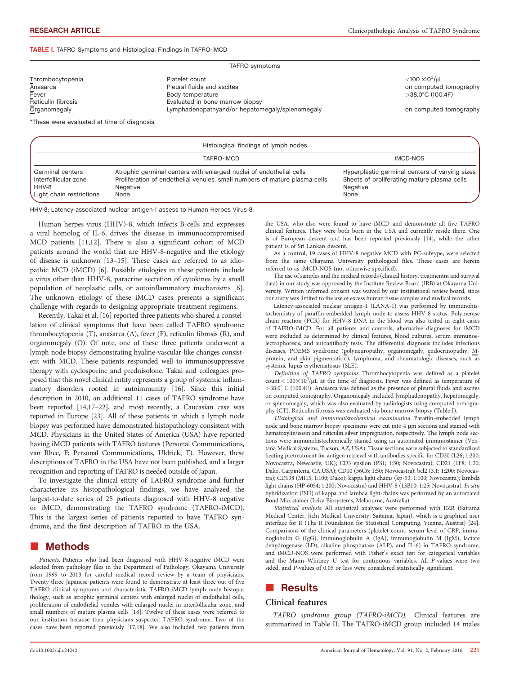#### TABLE I. TAFRO Symptoms and Histological Findings in TAFRO-iMCD

| TAFRO symptoms                              |                                                 |                                |  |  |
|---------------------------------------------|-------------------------------------------------|--------------------------------|--|--|
| Thrombocytopenia                            | Platelet count                                  | $<$ 100 x10 <sup>3</sup> /uL   |  |  |
| Anasarca                                    | Pleural fluids and ascites                      | on computed tomography         |  |  |
| Fever                                       | Body temperature                                | $>$ 38.0 $^{\circ}$ C (100.4F) |  |  |
| Reticulin fibrosis                          | Evaluated in bone marrow biopsy                 |                                |  |  |
| Organomegaly                                | Lymphadenopathyand/or hepatomegaly/splenomegaly | on computed tomography         |  |  |
| *These were evaluated at time of diagnosis. |                                                 |                                |  |  |

| Histological findings of lymph nodes                                          |                                                                                                                                                                       |                                                                                                                   |  |  |
|-------------------------------------------------------------------------------|-----------------------------------------------------------------------------------------------------------------------------------------------------------------------|-------------------------------------------------------------------------------------------------------------------|--|--|
|                                                                               | TAFRO-IMCD                                                                                                                                                            | <b>iMCD-NOS</b>                                                                                                   |  |  |
| Germinal centers<br>Interfollicular zone<br>HHV-8<br>Light chain restrictions | Atrophic germinal centers with enlarged nuclei of endothelial cells<br>Proliferation of endothelial venules, small numbers of mature plasma cells<br>Negative<br>None | Hyperplastic germinal centers of varying sizes<br>Sheets of proliferating mature plasma cells<br>Negative<br>None |  |  |

HHV-8; Latency-associated nuclear antigen-1 assess to Human Herpes Virus-8.

Human herpes virus (HHV)-8, which infects B-cells and expresses a viral homolog of IL-6, drives the disease in immunocompromised MCD patients [11,12]. There is also a significant cohort of MCD patients around the world that are HHV-8-negative and the etiology of disease is unknown [13–15]. These cases are referred to as idiopathic MCD (iMCD) [6]. Possible etiologies in these patients include a virus other than HHV-8, paracrine secretion of cytokines by a small population of neoplastic cells, or autoinflammatory mechanisms [6]. The unknown etiology of these iMCD cases presents a significant challenge with regards to designing appropriate treatment regimens.

Recently, Takai et al. [16] reported three patients who shared a constellation of clinical symptoms that have been called TAFRO syndrome: thrombocytopenia (T), anasarca (A), fever (F), reticulin fibrosis (R), and organomegaly (O). Of note, one of these three patients underwent a lymph node biopsy demonstrating hyaline-vascular-like changes consistent with MCD. These patients responded well to immunosuppressive therapy with cyclosporine and prednisolone. Takai and colleagues proposed that this novel clinical entity represents a group of systemic inflammatory disorders rooted in autoimmunity [16]. Since this initial description in 2010, an additional 11 cases of TAFRO syndrome have been reported [14,17–22], and most recently, a Caucasian case was reported in Europe [23]. All of these patients in which a lymph node biopsy was performed have demonstrated histopathology consistent with MCD. Physicians in the United States of America (USA) have reported having iMCD patients with TAFRO features (Personal Communications, van Rhee, F; Personal Communications, Uldrick, T). However, these descriptions of TAFRO in the USA have not been published, and a larger recognition and reporting of TAFRO is needed outside of Japan.

To investigate the clinical entity of TAFRO syndrome and further characterize its histopathological findings, we have analyzed the largest-to-date series of 25 patients diagnosed with HHV-8 negative or iMCD, demonstrating the TAFRO syndrome (TAFRO-iMCD). This is the largest series of patients reported to have TAFRO syndrome, and the first description of TAFRO in the USA.

## ■ Methods

Patients. Patients who had been diagnosed with HHV-8-negative iMCD were selected from pathology files in the Department of Pathology, Okayama University from 1999 to 2013 for careful medical record review by a team of physicians. Twenty-three Japanese patients were found to demonstrate at least three out of five TAFRO clinical symptoms and characteristic TAFRO-iMCD lymph node histopathology, such as atrophic germinal centers with enlarged nuclei of endothelial cells, proliferation of endothelial venules with enlarged nuclei in interfollicular zone, and small numbers of mature plasma cells [18]. Twelve of these cases were referred to our institution because their physicians suspected TAFRO syndrome. Two of the cases have been reported previously [17,18]. We also included two patients from the USA, who also were found to have iMCD and demonstrate all five TAFRO clinical features. They were both born in the USA and currently reside there. One is of European descent and has been reported previously [14], while the other patient is of Sri Lankan descent.

As a control, 19 cases of HHV-8 negative MCD with PC-subtype, were selected from the same Okayama University pathological files. These cases are herein referred to as iMCD-NOS (not otherwise specified).

The use of samples and the medical records (clinical history, treatmentm and survival data) in our study was approved by the Institute Review Board (IRB) at Okayama University. Written informed consent was waived by our institutional review board, since our study was limited to the use of excess human tissue samples and medical records.

Latency-associated nuclear antigen-1 (LANA-1) was performed by immunohistochemistry of paraffin-embedded lymph node to assess HHV-8 status. Polymerase chain reaction (PCR) for HHV-8 DNA in the blood was also tested in eight cases of TAFRO-iMCD. For all patients and controls, alternative diagnoses for iMCD were excluded as determined by clinical features, blood cultures, serum immunoelectrophoresis, and autoantibody tests. The differential diagnosis includes infectious diseases, POEMS syndrome (polyneuropathy, organomegaly, endocrinopathy, Mprotein, and skin pigmentation), lymphoma, and rheumatologic diseases, such as systemic lupus erythematosus (SLE).

Definition of TAFRO symptoms. Thrombocytopenia was defined as a platelet count <  $100 \times 10^3$ /µL at the time of diagnosis. Fever was defined as temperature of  $>$ 38.0° C (100.4F). Anasarca was defined as the presence of pleural fluids and ascites on computed tomography. Organomegaly included lymphadenopathy, hepatomegaly, or splenomegaly, which was also evaluated by radiologists using computed tomography (CT). Reticulin fibrosis was evaluated via bone marrow biopsy (Table I).

Histological and immunohistochemical examination. Paraffin-embedded lymph node and bone marrow biopsy specimens were cut into 4 µm sections and stained with hematoxylin/eosin and reticulin silver impregnation, respectively. The lymph node sections were immunohistochemically stained using an automated immunostainer (Ventana Medical Systems, Tucson, AZ, USA). Tissue sections were subjected to standardized heating pretreatment for antigen retrieval with antibodies specific for CD20 (L26; 1:200; Novocastra, Newcastle, UK); CD3 epsilon (PS1; 1:50; Novocastra); CD21 (1F8; 1:20; Dako, Carpinteria, CA,USA); CD10 (56C6; 1:50; Novocastra); bcl2 (3.1; 1:200; Novocastra); CD138 (MI15; 1:100; Dako); kappa light chains (kp-53; 1:100; Novocastra); lambda light chains (HP-6054; 1:200; Novocastra) and HHV-8 (13B10; 1:25; Novocastra). In situ hybridization (ISH) of kappa and lambda light-chains was performed by an automated Bond Max stainer (Leica Biosystems, Melbourne, Australia).

Statistical analysis. All statistical analyses were performed with EZR (Saitama Medical Center, Jichi Medical University, Saitama, Japan), which is a graphical user interface for R (The R Foundation for Statistical Computing, Vienna, Austria) [24]. Comparisons of the clinical parameters (platelet count, serum level of CRP, immunoglobulin G (IgG), immunoglobulin A (IgA), immunoglobulin M (IgM), lactate dehydrogenase (LD), alkaline phosphatase (ALP), and IL-6) in TAFRO syndrome, and iMCD-NOS were performed with Fisher's exact test for categorical variables and the Mann–Whitney U test for continuous variables. All P-values were two sided, and P-values of 0.05 or less were considered statistically significant.

## **Results**

### Clinical features

TAFRO syndrome group (TAFRO-iMCD). Clinical features are summarized in Table II. The TAFRO-iMCD group included 14 males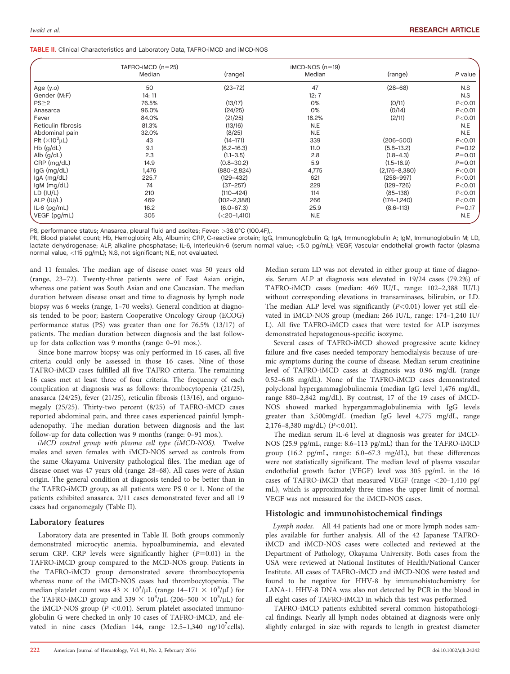TABLE II. Clinical Characteristics and Laboratory Data, TAFRO-iMCD and iMCD-NOS

|                           | TAFRO-IMCD $(n=25)$ |                  | $IMCD-NOS(n=19)$ |                   |            |  |
|---------------------------|---------------------|------------------|------------------|-------------------|------------|--|
|                           | Median              | (range)          | Median           | (range)           | P value    |  |
| Age $(y.o)$               | 50                  | $(23 - 72)$      | 47               | $(28 - 68)$       | N.S        |  |
| Gender (M:F)              | 14: 11              |                  | 12:7             |                   | N.S        |  |
| $PS \geq 2$               | 76.5%               | (13/17)          | 0%               | (0/11)            | P < 0.01   |  |
| Anasarca                  | 96.0%               | (24/25)          | 0%               | (0/14)            | P < 0.01   |  |
| Fever                     | 84.0%               | (21/25)          | 18.2%            | (2/11)            | P < 0.01   |  |
| Reticulin fibrosis        | 81.3%               | (13/16)          | N.E              |                   | N.E        |  |
| Abdominal pain            | 32.0%               | (8/25)           | N.E              |                   | N.E        |  |
| Plt $(\times 10^3 \mu L)$ | 43                  | $(14 - 171)$     | 339              | $(206 - 500)$     | P < 0.01   |  |
| Hb (g/dL)                 | 9.1                 | $(6.2 - 16.3)$   | 11.0             | $(5.8 - 13.2)$    | $P = 0.12$ |  |
| Alb $(g/dL)$              | 2.3                 | $(1.1 - 3.5)$    | 2.8              | $(1.8 - 4.3)$     | $P = 0.01$ |  |
| $CRP$ (mg/dL)             | 14.9                | $(0.8 - 30.2)$   | 5.9              | $(1.5 - 16.9)$    | $P = 0.01$ |  |
| IgG (mg/dL)               | 1,476               | $(880 - 2, 824)$ | 4,775            | $(2,176 - 8,380)$ | P < 0.01   |  |
| IgA (mg/dL)               | 225.7               | (129–432)        | 621              | $(258 - 997)$     | P < 0.01   |  |
| $lgM$ (mg/dL)             | 74                  | $(37 - 257)$     | 229              | $(129 - 726)$     | P < 0.01   |  |
| $LD$ $(IU/L)$             | 210                 | $(110 - 424)$    | 114              | $(85-138)$        | $P<$ 0.01  |  |
| ALP (IU/L)                | 469                 | $(102 - 2, 388)$ | 266              | $(174 - 1, 240)$  | P < 0.01   |  |
| IL-6 $(pg/mL)$            | 16.2                | $(6.0 - 67.3)$   | 25.9             | $(8.6 - 113)$     | $P = 0.17$ |  |
| VEGF (pg/mL)              | 305                 | (<20-1,410)      | N.E              |                   | N.E        |  |

PS, performance status; Anasarca, pleural fluid and ascites; Fever: >38.0°C (100.4F),.

Plt, Blood platelet count; Hb, Hemoglobin; Alb, Albumin; CRP, C-reactive protein; IgG, Immunoglobulin G; IgA, Immunoglobulin A; IgM, Immunoglobulin M; LD, lactate dehydrogenase; ALP, alkaline phosphatase; IL-6, Interleukin-6 (serum normal value; <5.0 pg/mL); VEGF, Vascular endothelial growth factor (plasma normal value, <115 pg/mL); N.S, not significant; N.E, not evaluated.

and 11 females. The median age of disease onset was 50 years old (range, 23–72). Twenty-three patients were of East Asian origin, whereas one patient was South Asian and one Caucasian. The median duration between disease onset and time to diagnosis by lymph node biopsy was 6 weeks (range, 1–70 weeks). General condition at diagnosis tended to be poor; Eastern Cooperative Oncology Group (ECOG) performance status (PS) was greater than one for 76.5% (13/17) of patients. The median duration between diagnosis and the last followup for data collection was 9 months (range: 0–91 mos.).

Since bone marrow biopsy was only performed in 16 cases, all five criteria could only be assessed in those 16 cases. Nine of those TAFRO-iMCD cases fulfilled all five TAFRO criteria. The remaining 16 cases met at least three of four criteria. The frequency of each complication at diagnosis was as follows: thrombocytopenia (21/25), anasarca (24/25), fever (21/25), reticulin fibrosis (13/16), and organomegaly (25/25). Thirty-two percent (8/25) of TAFRO-iMCD cases reported abdominal pain, and three cases experienced painful lymphadenopathy. The median duration between diagnosis and the last follow-up for data collection was 9 months (range: 0–91 mos.).

iMCD control group with plasma cell type (iMCD-NOS). Twelve males and seven females with iMCD-NOS served as controls from the same Okayama University pathological files. The median age of disease onset was 47 years old (range: 28–68). All cases were of Asian origin. The general condition at diagnosis tended to be better than in the TAFRO-iMCD group, as all patients were PS 0 or 1. None of the patients exhibited anasarca. 2/11 cases demonstrated fever and all 19 cases had organomegaly (Table II).

#### Laboratory features

Laboratory data are presented in Table II. Both groups commonly demonstrated microcytic anemia, hypoalbuminemia, and elevated serum CRP. CRP levels were significantly higher  $(P=0.01)$  in the TAFRO-iMCD group compared to the MCD-NOS group. Patients in the TAFRO-iMCD group demonstrated severe thrombocytopenia whereas none of the iMCD-NOS cases had thrombocytopenia. The median platelet count was  $43 \times 10^3$ /µL (range  $14-171 \times 10^3$ /µL) for the TAFRO-iMCD group and  $339 \times 10^3/\mu L$  (206–500  $\times 10^3/\mu L$ ) for the iMCD-NOS group ( $P < 0.01$ ). Serum platelet associated immunoglobulin G were checked in only 10 cases of TAFRO-iMCD, and elevated in nine cases (Median 144, range  $12.5-1,340$  ng/ $10^7$ cells).

Median serum LD was not elevated in either group at time of diagnosis. Serum ALP at diagnosis was elevated in 19/24 cases (79.2%) of TAFRO-iMCD cases (median: 469 IU/L, range: 102–2,388 IU/L) without corresponding elevations in transaminases, bilirubin, or LD. The median ALP level was significantly  $(P<0.01)$  lower yet still elevated in iMCD-NOS group (median: 266 IU/L, range: 174–1,240 IU/ L). All five TAFRO-iMCD cases that were tested for ALP isozymes demonstrated hepatogenous-specific isozyme.

Several cases of TAFRO-iMCD showed progressive acute kidney failure and five cases needed temporary hemodialysis because of uremic symptoms during the course of disease. Median serum creatinine level of TAFRO-iMCD cases at diagnosis was 0.96 mg/dL (range 0.52–6.08 mg/dL). None of the TAFRO-iMCD cases demonstrated polyclonal hypergammaglobulinemia (median IgG level 1,476 mg/dL, range 880–2,842 mg/dL). By contrast, 17 of the 19 cases of iMCD-NOS showed marked hypergammaglobulinemia with IgG levels greater than 3,500mg/dL (median IgG level 4,775 mg/dL, range  $2,176-8,380$  mg/dL) ( $P<0.01$ ).

The median serum IL-6 level at diagnosis was greater for iMCD-NOS (25.9 pg/mL, range: 8.6–113 pg/mL) than for the TAFRO-iMCD group (16.2 pg/mL, range: 6.0–67.3 mg/dL), but these differences were not statistically significant. The median level of plasma vascular endothelial growth factor (VEGF) level was 305 pg/mL in the 16 cases of TAFRO-iMCD that measured VEGF (range <20–1,410 pg/ mL), which is approximately three times the upper limit of normal. VEGF was not measured for the iMCD-NOS cases.

#### Histologic and immunohistochemical findings

Lymph nodes. All 44 patients had one or more lymph nodes samples available for further analysis. All of the 42 Japanese TAFROiMCD and iMCD-NOS cases were collected and reviewed at the Department of Pathology, Okayama University. Both cases from the USA were reviewed at National Institutes of Health/National Cancer Institute. All cases of TAFRO-iMCD and iMCD-NOS were tested and found to be negative for HHV-8 by immunohistochemistry for LANA-1. HHV-8 DNA was also not detected by PCR in the blood in all eight cases of TAFRO-iMCD in which this test was performed.

TAFRO-iMCD patients exhibited several common histopathological findings. Nearly all lymph nodes obtained at diagnosis were only slightly enlarged in size with regards to length in greatest diameter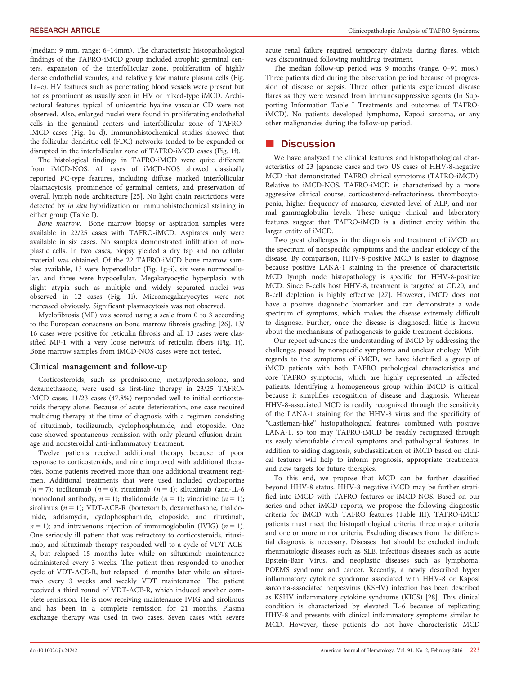(median: 9 mm, range: 6–14mm). The characteristic histopathological findings of the TAFRO-iMCD group included atrophic germinal centers, expansion of the interfollicular zone, proliferation of highly dense endothelial venules, and relatively few mature plasma cells (Fig. 1a–e). HV features such as penetrating blood vessels were present but not as prominent as usually seen in HV or mixed-type iMCD. Architectural features typical of unicentric hyaline vascular CD were not observed. Also, enlarged nuclei were found in proliferating endothelial cells in the germinal centers and interfollicular zone of TAFROiMCD cases (Fig. 1a–d). Immunohistochemical studies showed that the follicular dendritic cell (FDC) networks tended to be expanded or disrupted in the interfollicular zone of TAFRO-iMCD cases (Fig. 1f).

The histological findings in TAFRO-iMCD were quite different from iMCD-NOS. All cases of iMCD-NOS showed classically reported PC-type features, including diffuse marked interfollicular plasmacytosis, prominence of germinal centers, and preservation of overall lymph node architecture [25]. No light chain restrictions were detected by in situ hybridization or immunohistochemical staining in either group (Table I).

Bone marrow. Bone marrow biopsy or aspiration samples were available in 22/25 cases with TAFRO-iMCD. Aspirates only were available in six cases. No samples demonstrated infiltration of neoplastic cells. In two cases, biopsy yielded a dry tap and no cellular material was obtained. Of the 22 TAFRO-iMCD bone marrow samples available, 13 were hypercellular (Fig. 1g–i), six were normocellular, and three were hypocellular. Megakaryocytic hyperplasia with slight atypia such as multiple and widely separated nuclei was observed in 12 cases (Fig. 1i). Micromegakaryocytes were not increased obviously. Significant plasmacytosis was not observed.

Myelofibrosis (MF) was scored using a scale from 0 to 3 according to the European consensus on bone marrow fibrosis grading [26]. 13/ 16 cases were positive for reticulin fibrosis and all 13 cases were classified MF-1 with a very loose network of reticulin fibers (Fig. 1j). Bone marrow samples from iMCD-NOS cases were not tested.

#### Clinical management and follow-up

Corticosteroids, such as prednisolone, methylprednisolone, and dexamethasone, were used as first-line therapy in 23/25 TAFROiMCD cases. 11/23 cases (47.8%) responded well to initial corticosteroids therapy alone. Because of acute deterioration, one case required multidrug therapy at the time of diagnosis with a regimen consisting of rituximab, tocilizumab, cyclophosphamide, and etoposide. One case showed spontaneous remission with only pleural effusion drainage and nonsteroidal anti-inflammatory treatment.

Twelve patients received additional therapy because of poor response to corticosteroids, and nine improved with additional therapies. Some patients received more than one additional treatment regimen. Additional treatments that were used included cyclosporine  $(n = 7)$ ; tocilizumab  $(n = 6)$ ; rituximab  $(n = 4)$ ; siltuximab (anti-IL-6) monoclonal antibody,  $n = 1$ ); thalidomide ( $n = 1$ ); vincristine ( $n = 1$ ); sirolimus ( $n = 1$ ); VDT-ACE-R (bortezomib, dexamethasone, thalidomide, adriamycin, cyclophosphamide, etoposide, and rituximab,  $n = 1$ ); and intravenous injection of immunoglobulin (IVIG) ( $n = 1$ ). One seriously ill patient that was refractory to corticosteroids, rituximab, and siltuximab therapy responded well to a cycle of VDT-ACE-R, but relapsed 15 months later while on siltuximab maintenance administered every 3 weeks. The patient then responded to another cycle of VDT-ACE-R, but relapsed 16 months later while on siltuximab every 3 weeks and weekly VDT maintenance. The patient received a third round of VDT-ACE-R, which induced another complete remission. He is now receiving maintenance IVIG and sirolimus and has been in a complete remission for 21 months. Plasma exchange therapy was used in two cases. Seven cases with severe

acute renal failure required temporary dialysis during flares, which was discontinued following multidrug treatment.

The median follow-up period was 9 months (range, 0–91 mos.). Three patients died during the observation period because of progression of disease or sepsis. Three other patients experienced disease flares as they were weaned from immunosuppressive agents (In Supporting Information Table I Treatments and outcomes of TAFROiMCD). No patients developed lymphoma, Kaposi sarcoma, or any other malignancies during the follow-up period.

## **Discussion**

We have analyzed the clinical features and histopathological characteristics of 23 Japanese cases and two US cases of HHV-8-negative MCD that demonstrated TAFRO clinical symptoms (TAFRO-iMCD). Relative to iMCD-NOS, TAFRO-iMCD is characterized by a more aggressive clinical course, corticosteroid-refractoriness, thrombocytopenia, higher frequency of anasarca, elevated level of ALP, and normal gammaglobulin levels. These unique clinical and laboratory features suggest that TAFRO-iMCD is a distinct entity within the larger entity of iMCD.

Two great challenges in the diagnosis and treatment of iMCD are the spectrum of nonspecific symptoms and the unclear etiology of the disease. By comparison, HHV-8-positive MCD is easier to diagnose, because positive LANA-1 staining in the presence of characteristic MCD lymph node histopathology is specific for HHV-8-positive MCD. Since B-cells host HHV-8, treatment is targeted at CD20, and B-cell depletion is highly effective [27]. However, iMCD does not have a positive diagnostic biomarker and can demonstrate a wide spectrum of symptoms, which makes the disease extremely difficult to diagnose. Further, once the disease is diagnosed, little is known about the mechanisms of pathogenesis to guide treatment decisions.

Our report advances the understanding of iMCD by addressing the challenges posed by nonspecific symptoms and unclear etiology. With regards to the symptoms of iMCD, we have identified a group of iMCD patients with both TAFRO pathological characteristics and core TAFRO symptoms, which are highly represented in affected patients. Identifying a homogeneous group within iMCD is critical, because it simplifies recognition of disease and diagnosis. Whereas HHV-8-associated MCD is readily recognized through the sensitivity of the LANA-1 staining for the HHV-8 virus and the specificity of "Castleman-like" histopathological features combined with positive LANA-1, so too may TAFRO-iMCD be readily recognized through its easily identifiable clinical symptoms and pathological features. In addition to aiding diagnosis, subclassification of iMCD based on clinical features will help to inform prognosis, appropriate treatments, and new targets for future therapies.

To this end, we propose that MCD can be further classified beyond HHV-8 status. HHV-8 negative iMCD may be further stratified into iMCD with TAFRO features or iMCD-NOS. Based on our series and other iMCD reports, we propose the following diagnostic criteria for iMCD with TAFRO features (Table III). TAFRO-iMCD patients must meet the histopathological criteria, three major criteria and one or more minor criteria. Excluding diseases from the differential diagnosis is necessary. Diseases that should be excluded include rheumatologic diseases such as SLE, infectious diseases such as acute Epstein-Barr Virus, and neoplastic diseases such as lymphoma, POEMS syndrome and cancer. Recently, a newly described hyper inflammatory cytokine syndrome associated with HHV-8 or Kaposi sarcoma-associated herpesvirus (KSHV) infection has been described as KSHV inflammatory cytokine syndrome (KICS) [28]. This clinical condition is characterized by elevated IL-6 because of replicating HHV-8 and presents with clinical inflammatory symptoms similar to MCD. However, these patients do not have characteristic MCD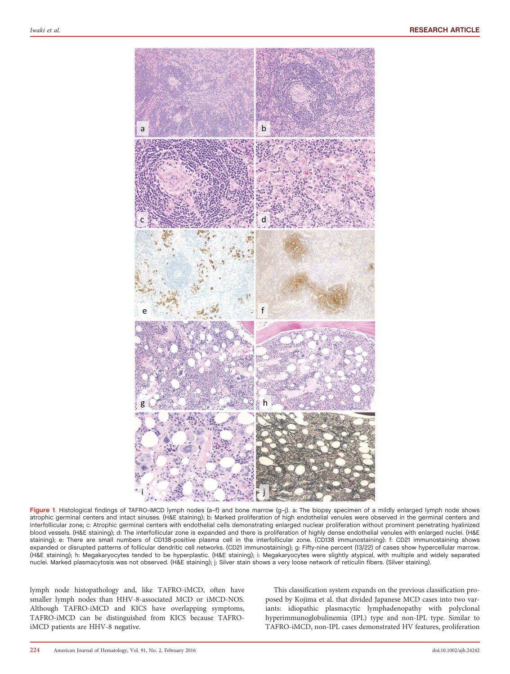

Figure 1. Histological findings of TAFRO-iMCD lymph nodes (a-f) and bone marrow (g-j). a: The biopsy specimen of a mildly enlarged lymph node shows atrophic germinal centers and intact sinuses. (H&E staining); b: Marked proliferation of high endothelial venules were observed in the germinal centers and interfollicular zone; c: Atrophic germinal centers with endothelial cells demonstrating enlarged nuclear proliferation without prominent penetrating hyalinized blood vessels. (H&E staining); d: The interfollicular zone is expanded and there is proliferation of highly dense endothelial venules with enlarged nuclei. (H&E staining); e: There are small numbers of CD138-positive plasma cell in the interfollicular zone. (CD138 immunostaining): f: CD21 immunostaining shows expanded or disrupted patterns of follicular dendritic cell networks. (CD21 immunostaining); g: Fifty-nine percent (13/22) of cases show hypercellular marrow. (H&E staining); h: Megakaryocytes tended to be hyperplastic. (H&E staining); i: Megakaryocytes were slightly atypical, with multiple and widely separated nuclei. Marked plasmacytosis was not observed. (H&E staining); j: Silver stain shows a very loose network of reticulin fibers. (Silver staining).

lymph node histopathology and, like TAFRO-iMCD, often have smaller lymph nodes than HHV-8-associated MCD or iMCD-NOS. Although TAFRO-iMCD and KICS have overlapping symptoms, TAFRO-iMCD can be distinguished from KICS because TAFROiMCD patients are HHV-8 negative.

This classification system expands on the previous classification proposed by Kojima et al. that divided Japanese MCD cases into two variants: idiopathic plasmacytic lymphadenopathy with polyclonal hyperimmunoglobulinemia (IPL) type and non-IPL type. Similar to TAFRO-iMCD, non-IPL cases demonstrated HV features, proliferation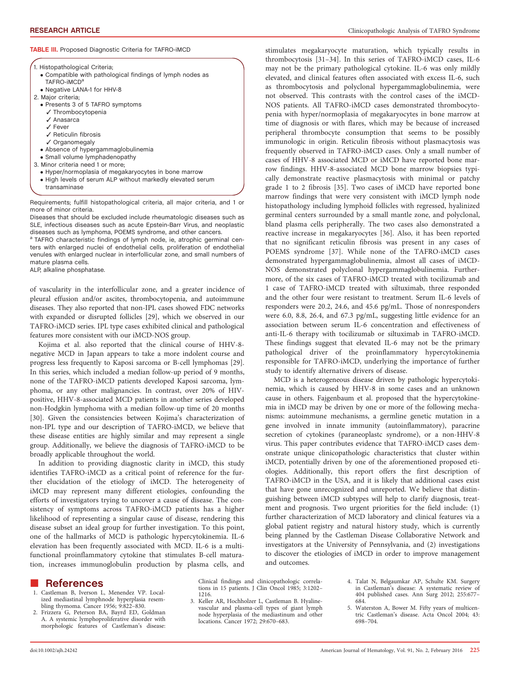#### TABLE III. Proposed Diagnostic Criteria for TAFRO-iMCD

|  |  | 1. Histopathological Criteria; |  |
|--|--|--------------------------------|--|
|--|--|--------------------------------|--|

- Compatible with pathological findings of lymph nodes as TAFRO-IMCD<sup>a</sup>
- Negative LANA-1 for HHV-8
- 2. Major criteria;
- Presents 3 of 5 TAFRO symptoms
	- ✓ Thrombocytopenia
	- ✓ Anasarca
	- ✓ Fever
	- ✓ Reticulin fibrosis
	- ✓ Organomegaly
	- Absence of hypergammaglobulinemia
- Small volume lymphadenopathy
- 3. Minor criteria need 1 or more;
	- Hyper/normoplasia of megakaryocytes in bone marrow
	- High levels of serum ALP without markedly elevated serum transaminase

Requirements; fulfill histopathological criteria, all major criteria, and 1 or more of minor criteria.

Diseases that should be excluded include rheumatologic diseases such as SLE, infectious diseases such as acute Epstein-Barr Virus, and neoplastic diseases such as lymphoma, POEMS syndrome, and other cancers.

<sup>a</sup> TAFRO characteristic findings of lymph node, ie, atrophic germinal centers with enlarged nuclei of endothelial cells, proliferation of endothelial venules with enlarged nuclear in interfollicular zone, and small numbers of mature plasma cells.

ALP, alkaline phosphatase.

of vascularity in the interfollicular zone, and a greater incidence of pleural effusion and/or ascites, thrombocytopenia, and autoimmune diseases. They also reported that non-IPL cases showed FDC networks with expanded or disrupted follicles [29], which we observed in our TAFRO-iMCD series. IPL type cases exhibited clinical and pathological features more consistent with our iMCD-NOS group.

Kojima et al. also reported that the clinical course of HHV-8 negative MCD in Japan appears to take a more indolent course and progress less frequently to Kaposi sarcoma or B-cell lymphomas [29]. In this series, which included a median follow-up period of 9 months, none of the TAFRO-iMCD patients developed Kaposi sarcoma, lymphoma, or any other malignancies. In contrast, over 20% of HIVpositive, HHV-8-associated MCD patients in another series developed non-Hodgkin lymphoma with a median follow-up time of 20 months [30]. Given the consistencies between Kojima's characterization of non-IPL type and our description of TAFRO-iMCD, we believe that these disease entities are highly similar and may represent a single group. Additionally, we believe the diagnosis of TAFRO-iMCD to be broadly applicable throughout the world.

In addition to providing diagnostic clarity in iMCD, this study identifies TAFRO-iMCD as a critical point of reference for the further elucidation of the etiology of iMCD. The heterogeneity of iMCD may represent many different etiologies, confounding the efforts of investigators trying to uncover a cause of disease. The consistency of symptoms across TAFRO-iMCD patients has a higher likelihood of representing a singular cause of disease, rendering this disease subset an ideal group for further investigation. To this point, one of the hallmarks of MCD is pathologic hypercytokinemia. IL-6 elevation has been frequently associated with MCD. IL-6 is a multifunctional proinflammatory cytokine that stimulates B-cell maturation, increases immunoglobulin production by plasma cells, and stimulates megakaryocyte maturation, which typically results in thrombocytosis [31–34]. In this series of TAFRO-iMCD cases, IL-6 may not be the primary pathological cytokine. IL-6 was only mildly elevated, and clinical features often associated with excess IL-6, such as thrombocytosis and polyclonal hypergammaglobulinemia, were not observed. This contrasts with the control cases of the iMCD-NOS patients. All TAFRO-iMCD cases demonstrated thrombocytopenia with hyper/normoplasia of megakaryocytes in bone marrow at time of diagnosis or with flares, which may be because of increased peripheral thrombocyte consumption that seems to be possibly immunologic in origin. Reticulin fibrosis without plasmacytosis was frequently observed in TAFRO-iMCD cases. Only a small number of cases of HHV-8 associated MCD or iMCD have reported bone marrow findings. HHV-8-associated MCD bone marrow biopsies typically demonstrate reactive plasmacytosis with minimal or patchy grade 1 to 2 fibrosis [35]. Two cases of iMCD have reported bone marrow findings that were very consistent with iMCD lymph node histopathology including lymphoid follicles with regressed, hyalinized germinal centers surrounded by a small mantle zone, and polyclonal, bland plasma cells peripherally. The two cases also demonstrated a reactive increase in megakaryocytes [36]. Also, it has been reported that no significant reticulin fibrosis was present in any cases of POEMS syndrome [37]. While none of the TAFRO-iMCD cases demonstrated hypergammaglobulinemia, almost all cases of iMCD-NOS demonstrated polyclonal hypergammaglobulinemia. Furthermore, of the six cases of TAFRO-iMCD treated with tocilizumab and 1 case of TAFRO-iMCD treated with siltuximab, three responded and the other four were resistant to treatment. Serum IL-6 levels of responders were 20.2, 24.6, and 45.6 pg/mL. Those of nonresponders were 6.0, 8.8, 26.4, and 67.3 pg/mL, suggesting little evidence for an association between serum IL-6 concentration and effectiveness of anti-IL-6 therapy with tocilizumab or siltuximab in TAFRO-iMCD. These findings suggest that elevated IL-6 may not be the primary pathological driver of the proinflammatory hypercytokinemia responsible for TAFRO-iMCD, underlying the importance of further study to identify alternative drivers of disease.

MCD is a heterogeneous disease driven by pathologic hypercytokinemia, which is caused by HHV-8 in some cases and an unknown cause in others. Fajgenbaum et al. proposed that the hypercytokinemia in iMCD may be driven by one or more of the following mechanisms: autoimmune mechanisms, a germline genetic mutation in a gene involved in innate immunity (autoinflammatory), paracrine secretion of cytokines (paraneoplastc syndrome), or a non-HHV-8 virus. This paper contributes evidence that TAFRO-iMCD cases demonstrate unique clinicopathologic characteristics that cluster within iMCD, potentially driven by one of the aforementioned proposed etiologies. Additionally, this report offers the first description of TAFRO-iMCD in the USA, and it is likely that additional cases exist that have gone unrecognized and unreported. We believe that distinguishing between iMCD subtypes will help to clarify diagnosis, treatment and prognosis. Two urgent priorities for the field include: (1) further characterization of MCD laboratory and clinical features via a global patient registry and natural history study, which is currently being planned by the Castleman Disease Collaborative Network and investigators at the University of Pennsylvania, and (2) investigations to discover the etiologies of iMCD in order to improve management and outcomes.

#### -References

- 1. Castleman B, Iverson L, Menendez VP. Localized mediastinal lymphnode hyperplasia resembling thymoma. Cancer 1956; 9:822–830.
- 2. Frizzera G, Peterson BA, Bayrd ED, Goldman A. A systemic lymphoproliferative disorder with morphologic features of Castleman's disease:

Clinical findings and clinicopathologic correlations in 15 patients. J Clin Oncol 1985; 3:1202– 1216.

- 3. Keller AR, Hochholzer L, Castleman B. Hyalinevascular and plasma-cell types of giant lymph node hyperplasia of the mediastinum and other locations. Cancer 1972; 29:670–683.
- 4. Talat N, Belgaumkar AP, Schulte KM. Surgery in Castleman's disease: A systematic review of 404 published cases. Ann Surg 2012; 255:677– 684.
- 5. Waterston A, Bower M. Fifty years of multicentric Castleman's disease. Acta Oncol 2004; 43: 698–704.